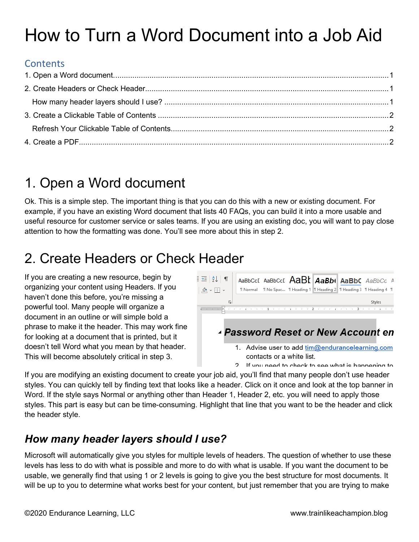# How to Turn a Word Document into a Job Aid

#### **Contents**

## <span id="page-0-0"></span>1. Open a Word document

Ok. This is a simple step. The important thing is that you can do this with a new or existing document. For example, if you have an existing Word document that lists 40 FAQs, you can build it into a more usable and useful resource for customer service or sales teams. If you are using an existing doc, you will want to pay close attention to how the formatting was done. You'll see more about this in step 2.

# <span id="page-0-1"></span>2. Create Headers or Check Header

If you are creating a new resource, begin by organizing your content using Headers. If you haven't done this before, you're missing a powerful tool. Many people will organize a document in an outline or will simple bold a phrase to make it the header. This may work fine for looking at a document that is printed, but it doesn't tell Word what you mean by that header. This will become absolutely critical in step 3.



2 If you need to check to see what is hannening to

If you are modifying an existing document to create your job aid, you'll find that many people don't use header styles. You can quickly tell by finding text that looks like a header. Click on it once and look at the top banner in Word. If the style says Normal or anything other than Header 1, Header 2, etc. you will need to apply those styles. This part is easy but can be time-consuming. Highlight that line that you want to be the header and click the header style.

#### <span id="page-0-2"></span>*How many header layers should I use?*

Microsoft will automatically give you styles for multiple levels of headers. The question of whether to use these levels has less to do with what is possible and more to do with what is usable. If you want the document to be usable, we generally find that using 1 or 2 levels is going to give you the best structure for most documents. It will be up to you to determine what works best for your content, but just remember that you are trying to make